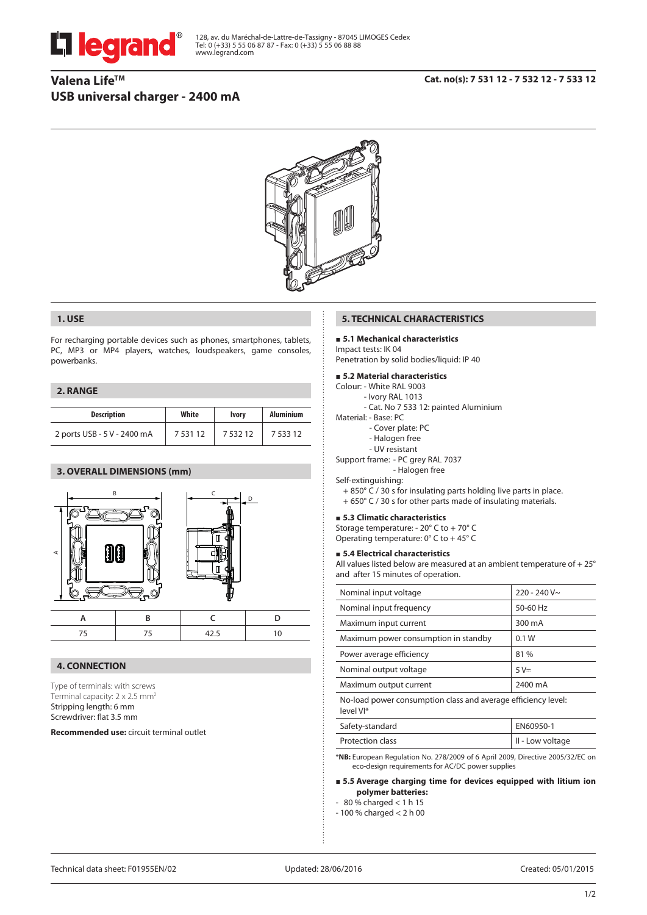



## **1. USE**

For recharging portable devices such as phones, smartphones, tablets, PC, MP3 or MP4 players, watches, loudspeakers, game consoles, powerbanks.

### **2. RANGE**

| <b>Description</b>          | White       | <b>Ivory</b> | <b>Aluminium</b> |
|-----------------------------|-------------|--------------|------------------|
| 2 ports USB - 5 V - 2400 mA | 7 5 3 1 1 2 | 753212       | 7 533 12         |

# **3. OVERALL DIMENSIONS (mm)**



### **4. CONNECTION**

Type of terminals: with screws Terminal capacity: 2 x 2.5 mm2 Stripping length: 6 mm Screwdriver: flat 3.5 mm

**Recommended use:** circuit terminal outlet

## **5. TECHNICAL CHARACTERISTICS**

## **5.1 Mechanical characteristics**

Impact tests: IK 04 Penetration by solid bodies/liquid: IP 40

## **5.2 Material characteristics**

- Colour: White RAL 9003
	- Ivory RAL 1013
	- Cat. No 7 533 12: painted Aluminium
- Material: Base: PC
	- Cover plate: PC
	- Halogen free
	- UV resistant
- Support frame: PC grey RAL 7037
- Halogen free

# Self-extinguishing:

- + 850° C / 30 s for insulating parts holding live parts in place.
- + 650° C / 30 s for other parts made of insulating materials.

#### **5.3 Climatic characteristics**

Storage temperature: - 20° C to + 70° C Operating temperature: 0° C to + 45° C

#### **5.4 Electrical characteristics**

All values listed below are measured at an ambient temperature of + 25° and after 15 minutes of operation.

| Nominal input voltage                                                       | $220 - 240V$ ~ |  |
|-----------------------------------------------------------------------------|----------------|--|
| Nominal input frequency                                                     | 50-60 Hz       |  |
| Maximum input current                                                       | 300 mA         |  |
| Maximum power consumption in standby                                        | 0.1W           |  |
| Power average efficiency                                                    | 81%            |  |
| Nominal output voltage                                                      | $5V =$         |  |
| Maximum output current                                                      | 2400 mA        |  |
| No-load power consumption class and average efficiency level:<br>$ln(111*)$ |                |  |

| <b>ICVCIVI</b>   |                          |
|------------------|--------------------------|
| Safety-standard  | EN60950-1                |
| Protection class | $\vert$ II - Low voltage |

\***NB:** European Regulation No. 278/2009 of 6 April 2009, Directive 2005/32/EC on eco-design requirements for AC/DC power supplies

### **5.5 Average charging time for devices equipped with litium ion polymer batteries:**

- $-80\%$  charged  $< 1 h 15$
- 100 % charged < 2 h 00